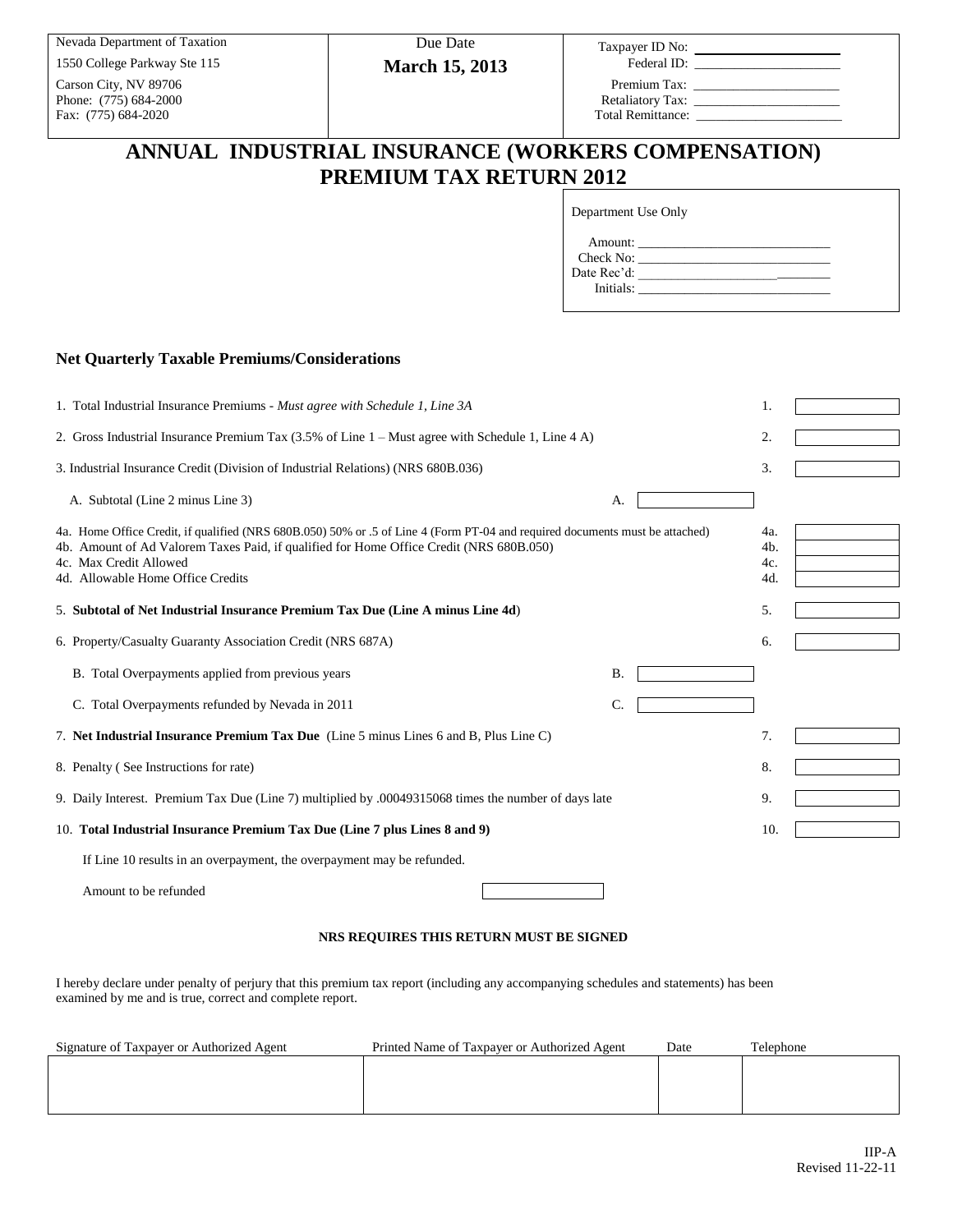Carson City, NV 89706 Premium Tax: \_\_\_\_\_\_\_\_\_\_\_\_\_\_\_\_\_\_\_\_\_\_ Phone: (775) 684-2000 Retaliatory Tax: \_\_\_\_\_\_\_\_\_\_\_\_\_\_\_\_\_\_\_\_\_\_ Fax: (775) 684-2020 Total Remittance:

Nevada Department of Taxation Due Date Taxpayer ID No: \_\_\_\_\_\_\_\_\_\_\_\_\_\_ **March 15, 2013** 

Federal ID:

# **ANNUAL INDUSTRIAL INSURANCE (WORKERS COMPENSATION) PREMIUM TAX RETURN 2012**

Department Use Only

| Amount:     |  |
|-------------|--|
| Check No:   |  |
| Date Rec'd: |  |
| Initials:   |  |

### **Net Quarterly Taxable Premiums/Considerations**

| 1. Total Industrial Insurance Premiums - Must agree with Schedule 1, Line 3A                                                                                                                                                                                                           |                 |    |  |  |
|----------------------------------------------------------------------------------------------------------------------------------------------------------------------------------------------------------------------------------------------------------------------------------------|-----------------|----|--|--|
| 2. Gross Industrial Insurance Premium Tax (3.5% of Line 1 – Must agree with Schedule 1, Line 4 A)                                                                                                                                                                                      | 2.              |    |  |  |
| 3. Industrial Insurance Credit (Division of Industrial Relations) (NRS 680B.036)                                                                                                                                                                                                       | 3.              |    |  |  |
| A. Subtotal (Line 2 minus Line 3)                                                                                                                                                                                                                                                      | А.              |    |  |  |
| 4a. Home Office Credit, if qualified (NRS 680B.050) 50% or .5 of Line 4 (Form PT-04 and required documents must be attached)<br>4b. Amount of Ad Valorem Taxes Paid, if qualified for Home Office Credit (NRS 680B.050)<br>4c. Max Credit Allowed<br>4d. Allowable Home Office Credits |                 |    |  |  |
| 5. Subtotal of Net Industrial Insurance Premium Tax Due (Line A minus Line 4d)                                                                                                                                                                                                         |                 | 5. |  |  |
| 6. Property/Casualty Guaranty Association Credit (NRS 687A)                                                                                                                                                                                                                            |                 | 6. |  |  |
| B. Total Overpayments applied from previous years                                                                                                                                                                                                                                      | <b>B.</b>       |    |  |  |
| C. Total Overpayments refunded by Nevada in 2011                                                                                                                                                                                                                                       | $\mathcal{C}$ . |    |  |  |
| 7. Net Industrial Insurance Premium Tax Due (Line 5 minus Lines 6 and B, Plus Line C)                                                                                                                                                                                                  |                 | 7. |  |  |
| 8. Penalty (See Instructions for rate)                                                                                                                                                                                                                                                 |                 | 8. |  |  |
| 9. Daily Interest. Premium Tax Due (Line 7) multiplied by .00049315068 times the number of days late                                                                                                                                                                                   |                 |    |  |  |
| 10. Total Industrial Insurance Premium Tax Due (Line 7 plus Lines 8 and 9)                                                                                                                                                                                                             |                 |    |  |  |
| If Line 10 results in an overpayment, the overpayment may be refunded.                                                                                                                                                                                                                 |                 |    |  |  |
|                                                                                                                                                                                                                                                                                        |                 |    |  |  |

Amount to be refunded

#### **NRS REQUIRES THIS RETURN MUST BE SIGNED**

 $\overline{\phantom{a}}$ 

I hereby declare under penalty of perjury that this premium tax report (including any accompanying schedules and statements) has been examined by me and is true, correct and complete report.

| Signature of Taxpayer or Authorized Agent | Printed Name of Taxpayer or Authorized Agent | Date | Telephone |
|-------------------------------------------|----------------------------------------------|------|-----------|
|                                           |                                              |      |           |
|                                           |                                              |      |           |
|                                           |                                              |      |           |
|                                           |                                              |      |           |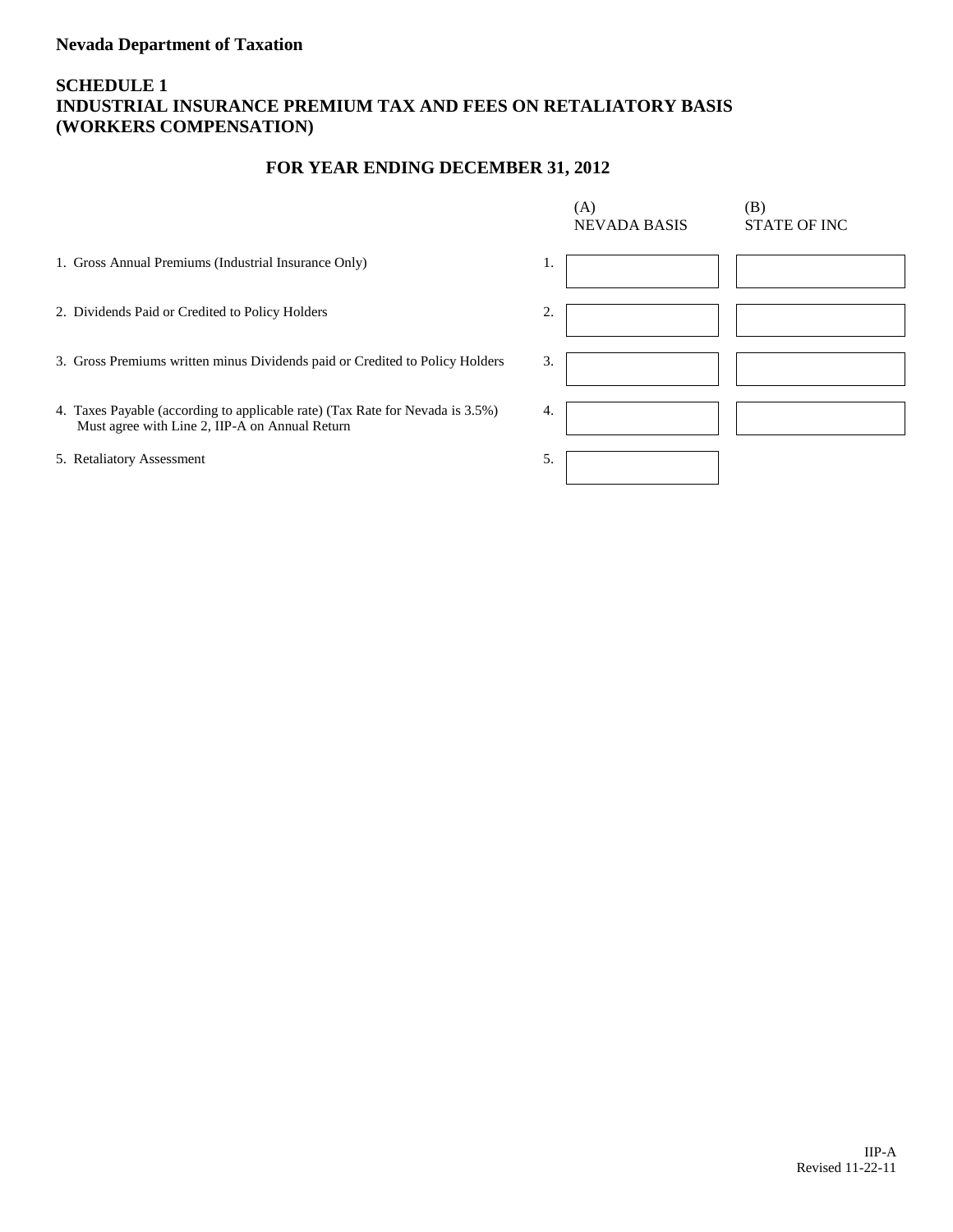## **Nevada Department of Taxation**

## **SCHEDULE 1 INDUSTRIAL INSURANCE PREMIUM TAX AND FEES ON RETALIATORY BASIS (WORKERS COMPENSATION)**

## **FOR YEAR ENDING DECEMBER 31, 2012**

|                                                                                                                                 | (A)<br><b>NEVADA BASIS</b> | (B)<br><b>STATE OF INC</b> |
|---------------------------------------------------------------------------------------------------------------------------------|----------------------------|----------------------------|
| 1. Gross Annual Premiums (Industrial Insurance Only)                                                                            | 1.                         |                            |
| 2. Dividends Paid or Credited to Policy Holders                                                                                 | 2.                         |                            |
| 3. Gross Premiums written minus Dividends paid or Credited to Policy Holders                                                    | 3.                         |                            |
| 4. Taxes Payable (according to applicable rate) (Tax Rate for Nevada is 3.5%)<br>Must agree with Line 2, IIP-A on Annual Return | 4.                         |                            |
| 5. Retaliatory Assessment                                                                                                       | 5.                         |                            |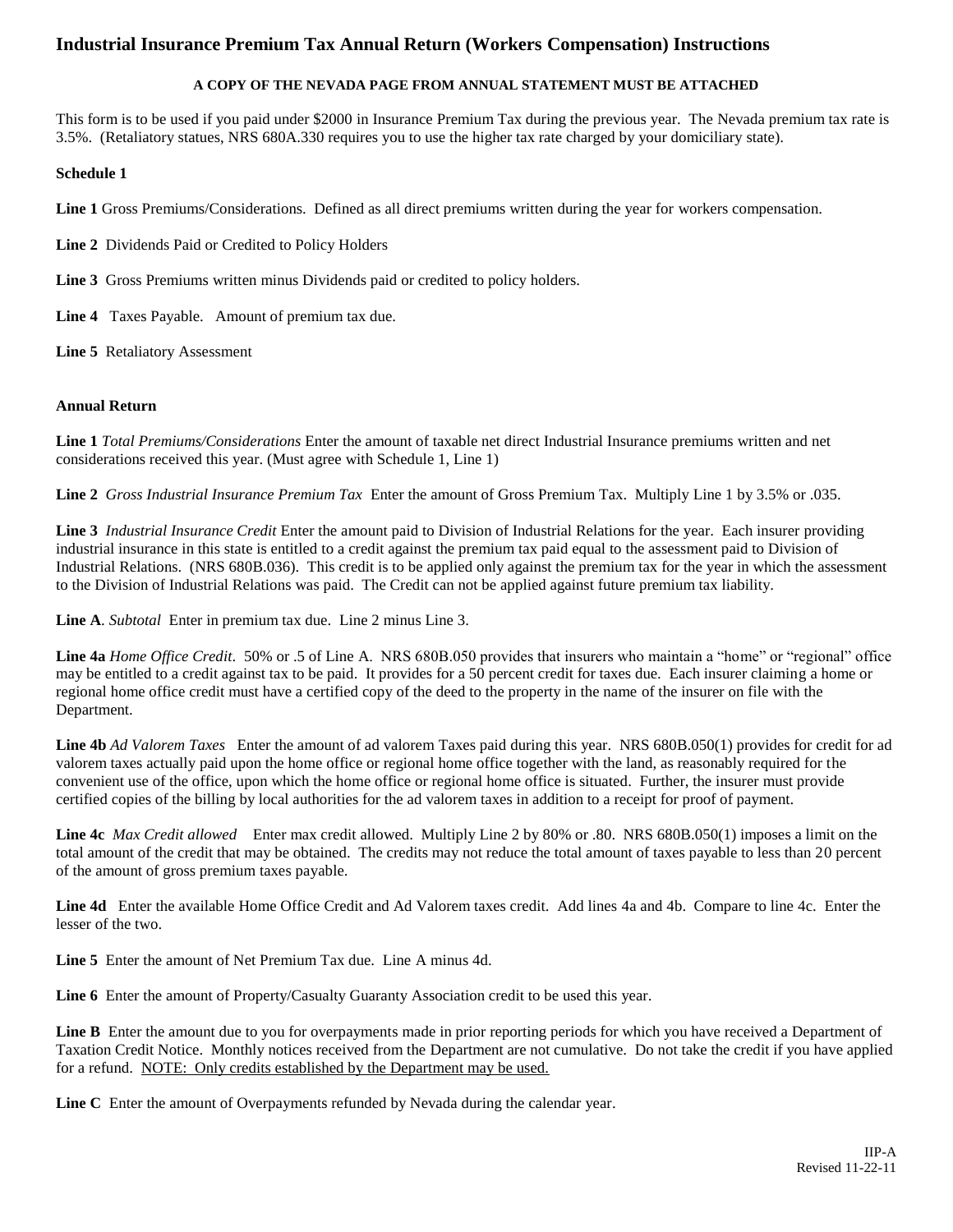## **Industrial Insurance Premium Tax Annual Return (Workers Compensation) Instructions**

### **A COPY OF THE NEVADA PAGE FROM ANNUAL STATEMENT MUST BE ATTACHED**

This form is to be used if you paid under \$2000 in Insurance Premium Tax during the previous year. The Nevada premium tax rate is 3.5%. (Retaliatory statues, NRS 680A.330 requires you to use the higher tax rate charged by your domiciliary state).

### **Schedule 1**

**Line 1** Gross Premiums/Considerations. Defined as all direct premiums written during the year for workers compensation.

- **Line 2** Dividends Paid or Credited to Policy Holders
- **Line 3** Gross Premiums written minus Dividends paid or credited to policy holders.
- **Line 4** Taxes Payable. Amount of premium tax due.
- **Line 5** Retaliatory Assessment

### **Annual Return**

**Line 1** *Total Premiums/Considerations* Enter the amount of taxable net direct Industrial Insurance premiums written and net considerations received this year. (Must agree with Schedule 1, Line 1)

**Line 2** *Gross Industrial Insurance Premium Tax* Enter the amount of Gross Premium Tax. Multiply Line 1 by 3.5% or .035.

**Line 3** *Industrial Insurance Credit* Enter the amount paid to Division of Industrial Relations for the year. Each insurer providing industrial insurance in this state is entitled to a credit against the premium tax paid equal to the assessment paid to Division of Industrial Relations. (NRS 680B.036). This credit is to be applied only against the premium tax for the year in which the assessment to the Division of Industrial Relations was paid. The Credit can not be applied against future premium tax liability.

**Line A**. *Subtotal* Enter in premium tax due. Line 2 minus Line 3.

**Line 4a** *Home Office Credit*. 50% or .5 of Line A. NRS 680B.050 provides that insurers who maintain a "home" or "regional" office may be entitled to a credit against tax to be paid. It provides for a 50 percent credit for taxes due. Each insurer claiming a home or regional home office credit must have a certified copy of the deed to the property in the name of the insurer on file with the Department.

**Line 4b** *Ad Valorem Taxes* Enter the amount of ad valorem Taxes paid during this year. NRS 680B.050(1) provides for credit for ad valorem taxes actually paid upon the home office or regional home office together with the land, as reasonably required for the convenient use of the office, upon which the home office or regional home office is situated. Further, the insurer must provide certified copies of the billing by local authorities for the ad valorem taxes in addition to a receipt for proof of payment.

**Line 4c** *Max Credit allowed* Enter max credit allowed. Multiply Line 2 by 80% or .80. NRS 680B.050(1) imposes a limit on the total amount of the credit that may be obtained. The credits may not reduce the total amount of taxes payable to less than 20 percent of the amount of gross premium taxes payable.

Line 4d Enter the available Home Office Credit and Ad Valorem taxes credit. Add lines 4a and 4b. Compare to line 4c. Enter the lesser of the two.

**Line 5** Enter the amount of Net Premium Tax due. Line A minus 4d.

**Line 6** Enter the amount of Property/Casualty Guaranty Association credit to be used this year.

Line B Enter the amount due to you for overpayments made in prior reporting periods for which you have received a Department of Taxation Credit Notice. Monthly notices received from the Department are not cumulative. Do not take the credit if you have applied for a refund. NOTE: Only credits established by the Department may be used.

**Line C** Enter the amount of Overpayments refunded by Nevada during the calendar year.